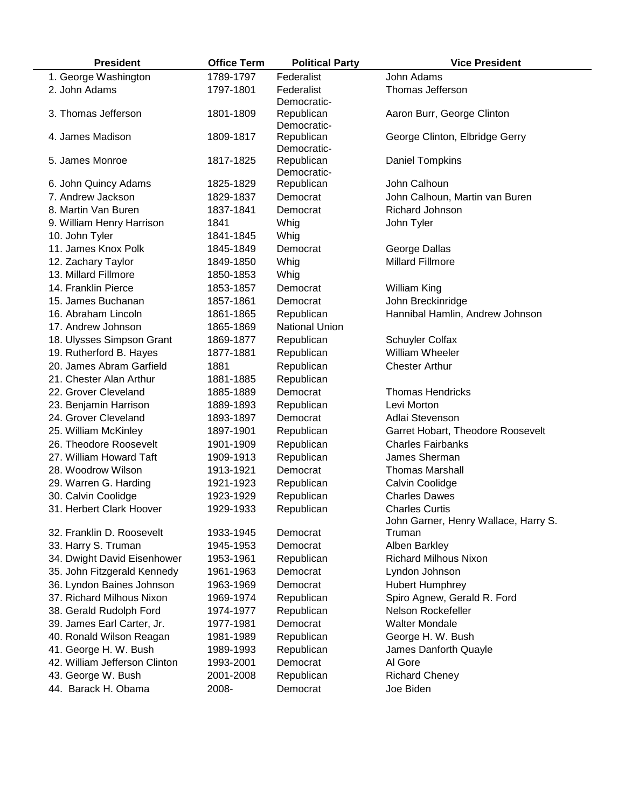| <b>President</b>              | <b>Office Term</b> | <b>Political Party</b>    | <b>Vice President</b>                |
|-------------------------------|--------------------|---------------------------|--------------------------------------|
| 1. George Washington          | 1789-1797          | Federalist                | John Adams                           |
| 2. John Adams                 | 1797-1801          | Federalist                | Thomas Jefferson                     |
|                               |                    | Democratic-               |                                      |
| 3. Thomas Jefferson           | 1801-1809          | Republican                | Aaron Burr, George Clinton           |
|                               |                    | Democratic-               |                                      |
| 4. James Madison              | 1809-1817          | Republican<br>Democratic- | George Clinton, Elbridge Gerry       |
| 5. James Monroe               | 1817-1825          | Republican                | Daniel Tompkins                      |
|                               |                    | Democratic-               |                                      |
| 6. John Quincy Adams          | 1825-1829          | Republican                | John Calhoun                         |
| 7. Andrew Jackson             | 1829-1837          | Democrat                  | John Calhoun, Martin van Buren       |
| 8. Martin Van Buren           | 1837-1841          | Democrat                  | <b>Richard Johnson</b>               |
| 9. William Henry Harrison     | 1841               | Whig                      | John Tyler                           |
| 10. John Tyler                | 1841-1845          | Whig                      |                                      |
| 11. James Knox Polk           | 1845-1849          | Democrat                  | George Dallas                        |
| 12. Zachary Taylor            | 1849-1850          | Whig                      | <b>Millard Fillmore</b>              |
| 13. Millard Fillmore          | 1850-1853          | Whig                      |                                      |
| 14. Franklin Pierce           | 1853-1857          | Democrat                  | <b>William King</b>                  |
| 15. James Buchanan            | 1857-1861          | Democrat                  | John Breckinridge                    |
| 16. Abraham Lincoln           | 1861-1865          | Republican                | Hannibal Hamlin, Andrew Johnson      |
| 17. Andrew Johnson            | 1865-1869          | <b>National Union</b>     |                                      |
| 18. Ulysses Simpson Grant     | 1869-1877          | Republican                | Schuyler Colfax                      |
| 19. Rutherford B. Hayes       | 1877-1881          | Republican                | William Wheeler                      |
| 20. James Abram Garfield      | 1881               | Republican                | <b>Chester Arthur</b>                |
| 21. Chester Alan Arthur       | 1881-1885          | Republican                |                                      |
| 22. Grover Cleveland          | 1885-1889          | Democrat                  | <b>Thomas Hendricks</b>              |
| 23. Benjamin Harrison         | 1889-1893          | Republican                | Levi Morton                          |
| 24. Grover Cleveland          | 1893-1897          | Democrat                  | Adlai Stevenson                      |
| 25. William McKinley          | 1897-1901          | Republican                | Garret Hobart, Theodore Roosevelt    |
| 26. Theodore Roosevelt        | 1901-1909          | Republican                | <b>Charles Fairbanks</b>             |
| 27. William Howard Taft       | 1909-1913          | Republican                | James Sherman                        |
| 28. Woodrow Wilson            | 1913-1921          | Democrat                  | <b>Thomas Marshall</b>               |
| 29. Warren G. Harding         | 1921-1923          | Republican                | Calvin Coolidge                      |
| 30. Calvin Coolidge           | 1923-1929          | Republican                | <b>Charles Dawes</b>                 |
| 31. Herbert Clark Hoover      | 1929-1933          | Republican                | <b>Charles Curtis</b>                |
|                               |                    |                           | John Garner, Henry Wallace, Harry S. |
| 32. Franklin D. Roosevelt     | 1933-1945          | Democrat                  | Truman                               |
| 33. Harry S. Truman           | 1945-1953          | Democrat                  | Alben Barkley                        |
| 34. Dwight David Eisenhower   | 1953-1961          | Republican                | <b>Richard Milhous Nixon</b>         |
| 35. John Fitzgerald Kennedy   | 1961-1963          | Democrat                  | Lyndon Johnson                       |
| 36. Lyndon Baines Johnson     | 1963-1969          | Democrat                  | <b>Hubert Humphrey</b>               |
| 37. Richard Milhous Nixon     | 1969-1974          | Republican                | Spiro Agnew, Gerald R. Ford          |
| 38. Gerald Rudolph Ford       | 1974-1977          | Republican                | Nelson Rockefeller                   |
| 39. James Earl Carter, Jr.    | 1977-1981          | Democrat                  | <b>Walter Mondale</b>                |
| 40. Ronald Wilson Reagan      | 1981-1989          | Republican                | George H. W. Bush                    |
| 41. George H. W. Bush         | 1989-1993          | Republican                | James Danforth Quayle                |
| 42. William Jefferson Clinton | 1993-2001          | Democrat                  | Al Gore                              |
| 43. George W. Bush            | 2001-2008          | Republican                | <b>Richard Cheney</b>                |
| 44. Barack H. Obama           | 2008-              | Democrat                  | Joe Biden                            |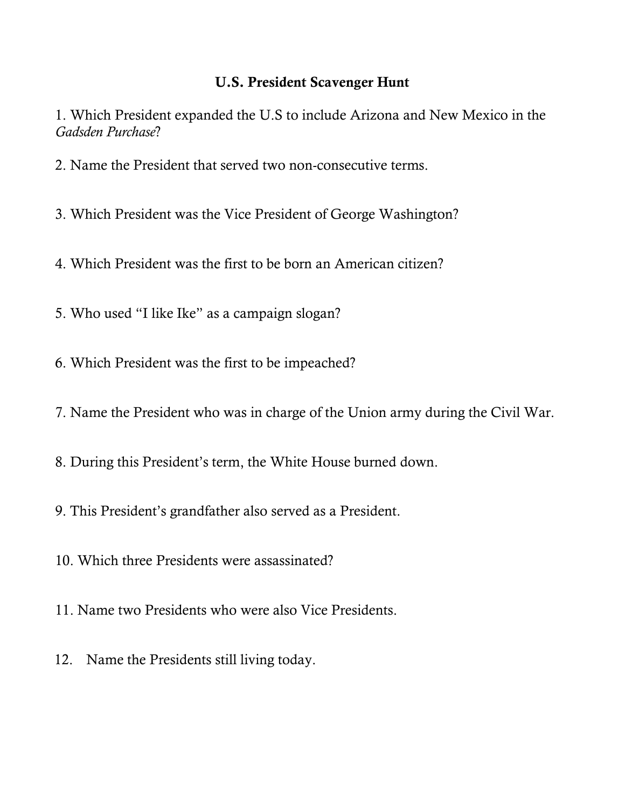## **U.S. President Scavenger Hunt**

1. Which President expanded the U.S to include Arizona and New Mexico in the *Gadsden Purchase*?

- 2. Name the President that served two non-consecutive terms.
- 3. Which President was the Vice President of George Washington?
- 4. Which President was the first to be born an American citizen?
- 5. Who used "I like Ike" as a campaign slogan?
- 6. Which President was the first to be impeached?
- 7. Name the President who was in charge of the Union army during the Civil War.
- 8. During this President's term, the White House burned down.
- 9. This President's grandfather also served as a President.
- 10. Which three Presidents were assassinated?
- 11. Name two Presidents who were also Vice Presidents.
- 12. Name the Presidents still living today.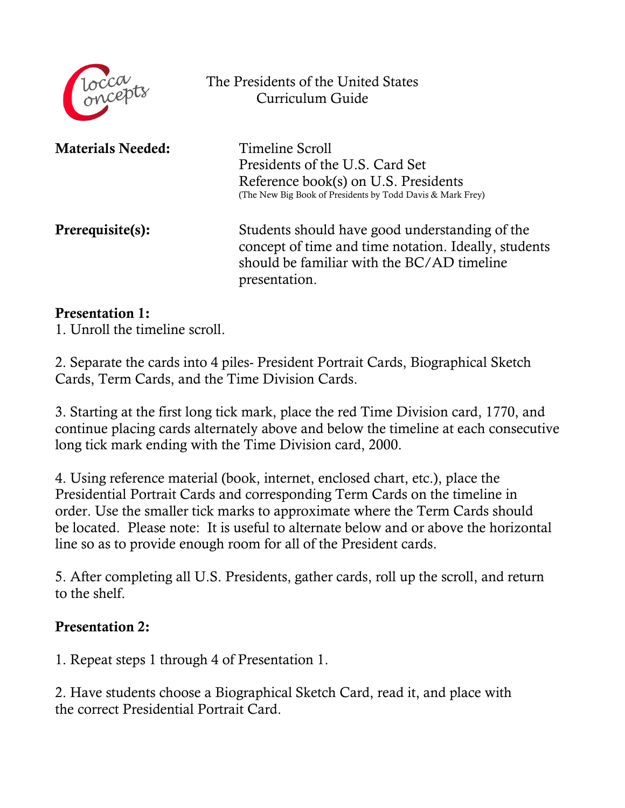

The Presidents of the United States Curriculum Guide

**Materials Needed:** Timeline Scroll

Presidents of the U.S. Card Set Reference book(s) on U.S. Presidents (The New Big Book of Presidents by Todd Davis & Mark Frey)

**Prerequisite(s):** Students should have good understanding of the concept of time and time notation. Ideally, students should be familiar with the BC/AD timeline presentation.

## **Presentation 1:**

1. Unroll the timeline scroll.

2. Separate the cards into 4 piles- President Portrait Cards, Biographical Sketch Cards, Term Cards, and the Time Division Cards.

3. Starting at the first long tick mark, place the red Time Division card, 1770, and continue placing cards alternately above and below the timeline at each consecutive long tick mark ending with the Time Division card, 2000.

4. Using reference material (book, internet, enclosed chart, etc.), place the Presidential Portrait Cards and corresponding Term Cards on the timeline in order. Use the smaller tick marks to approximate where the Term Cards should be located. Please note: It is useful to alternate below and or above the horizontal line so as to provide enough room for all of the President cards.

5. After completing all U.S. Presidents, gather cards, roll up the scroll, and return to the shelf.

## **Presentation 2:**

1. Repeat steps 1 through 4 of Presentation 1.

2. Have students choose a Biographical Sketch Card, read it, and place with the correct Presidential Portrait Card.